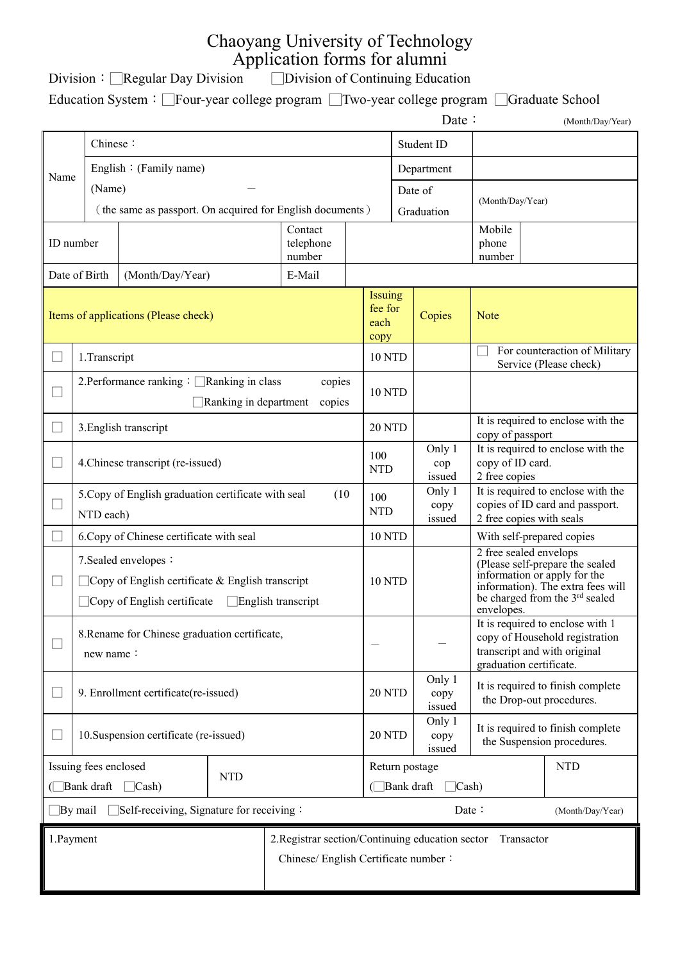## Chaoyang University of Technology Application forms for alumni

Division: □Regular Day Division □Division of Continuing Education

Education System:□Four-year college program □Two-year college program □Graduate School

|                                                                                                                     |                                                                                                                                         |                                                           |                                    |                                  |                                        |                                                        | Date:                                                                                                                                                                                      |                                                                 | (Month/Day/Year)                                        |
|---------------------------------------------------------------------------------------------------------------------|-----------------------------------------------------------------------------------------------------------------------------------------|-----------------------------------------------------------|------------------------------------|----------------------------------|----------------------------------------|--------------------------------------------------------|--------------------------------------------------------------------------------------------------------------------------------------------------------------------------------------------|-----------------------------------------------------------------|---------------------------------------------------------|
|                                                                                                                     | Chinese:                                                                                                                                |                                                           |                                    |                                  | Student ID                             |                                                        |                                                                                                                                                                                            |                                                                 |                                                         |
| Name                                                                                                                |                                                                                                                                         | English: (Family name)                                    |                                    |                                  |                                        | Department                                             |                                                                                                                                                                                            |                                                                 |                                                         |
|                                                                                                                     |                                                                                                                                         | (Name)                                                    |                                    |                                  |                                        | Date of                                                |                                                                                                                                                                                            | (Month/Day/Year)                                                |                                                         |
|                                                                                                                     |                                                                                                                                         | (the same as passport. On acquired for English documents) |                                    |                                  |                                        | Graduation                                             |                                                                                                                                                                                            |                                                                 |                                                         |
|                                                                                                                     |                                                                                                                                         |                                                           |                                    | Contact                          |                                        |                                                        |                                                                                                                                                                                            | Mobile<br>phone                                                 |                                                         |
| ID number<br>telephone<br>number                                                                                    |                                                                                                                                         |                                                           |                                    |                                  |                                        | number                                                 |                                                                                                                                                                                            |                                                                 |                                                         |
|                                                                                                                     | Date of Birth                                                                                                                           | (Month/Day/Year)                                          |                                    | E-Mail                           |                                        |                                                        |                                                                                                                                                                                            |                                                                 |                                                         |
| Items of applications (Please check)                                                                                |                                                                                                                                         |                                                           | Issuing<br>fee for<br>each<br>copy |                                  | Copies                                 | <b>Note</b>                                            |                                                                                                                                                                                            |                                                                 |                                                         |
|                                                                                                                     | 1.Transcript                                                                                                                            |                                                           |                                    |                                  | 10 NTD                                 |                                                        |                                                                                                                                                                                            |                                                                 | For counteraction of Military<br>Service (Please check) |
|                                                                                                                     | 2. Performance ranking : □Ranking in class<br>copies<br>Ranking in department<br>copies                                                 |                                                           |                                    | <b>10 NTD</b>                    |                                        |                                                        |                                                                                                                                                                                            |                                                                 |                                                         |
|                                                                                                                     | 3. English transcript                                                                                                                   |                                                           |                                    | 20 NTD                           |                                        | It is required to enclose with the<br>copy of passport |                                                                                                                                                                                            |                                                                 |                                                         |
|                                                                                                                     | 4. Chinese transcript (re-issued)                                                                                                       |                                                           |                                    | 100<br><b>NTD</b>                |                                        | Only 1<br>cop<br>issued                                | It is required to enclose with the<br>copy of ID card.<br>2 free copies                                                                                                                    |                                                                 |                                                         |
|                                                                                                                     | 5. Copy of English graduation certificate with seal<br>(10)<br>NTD each)                                                                |                                                           |                                    | 100                              | Only 1<br>copy<br><b>NTD</b><br>issued |                                                        | It is required to enclose with the<br>copies of ID card and passport.<br>2 free copies with seals                                                                                          |                                                                 |                                                         |
|                                                                                                                     | 6. Copy of Chinese certificate with seal                                                                                                |                                                           |                                    | 10 NTD                           |                                        |                                                        | With self-prepared copies                                                                                                                                                                  |                                                                 |                                                         |
|                                                                                                                     | 7. Sealed envelopes:<br>Copy of English certificate $\&$ English transcript<br>Copy of English certificate<br>$\Box$ English transcript |                                                           |                                    | <b>10 NTD</b>                    |                                        |                                                        | 2 free sealed envelops<br>(Please self-prepare the sealed<br>information or apply for the<br>information). The extra fees will<br>be charged from the 3 <sup>rd</sup> sealed<br>envelopes. |                                                                 |                                                         |
|                                                                                                                     | 8. Rename for Chinese graduation certificate,<br>new name:                                                                              |                                                           |                                    |                                  |                                        |                                                        | It is required to enclose with 1<br>copy of Household registration<br>transcript and with original<br>graduation certificate.                                                              |                                                                 |                                                         |
|                                                                                                                     | 9. Enrollment certificate(re-issued)                                                                                                    |                                                           |                                    | <b>20 NTD</b>                    |                                        | Only 1<br>copy<br>issued                               | It is required to finish complete<br>the Drop-out procedures.                                                                                                                              |                                                                 |                                                         |
|                                                                                                                     | 10. Suspension certificate (re-issued)                                                                                                  |                                                           |                                    | 20 NTD                           |                                        | Only 1<br>copy<br>issued                               |                                                                                                                                                                                            | It is required to finish complete<br>the Suspension procedures. |                                                         |
| Issuing fees enclosed<br><b>NTD</b>                                                                                 |                                                                                                                                         |                                                           |                                    |                                  | Return postage                         |                                                        |                                                                                                                                                                                            | <b>NTD</b>                                                      |                                                         |
| $\Box$ Bank draft<br>$\Box$ Cash                                                                                    |                                                                                                                                         |                                                           |                                    | $\Box$ Bank draft<br>$\Box$ Cash |                                        |                                                        |                                                                                                                                                                                            |                                                                 |                                                         |
| $\Box$ Self-receiving, Signature for receiving:<br>$\Box$ By mail<br>Date :                                         |                                                                                                                                         |                                                           |                                    |                                  | (Month/Day/Year)                       |                                                        |                                                                                                                                                                                            |                                                                 |                                                         |
| 1.Payment<br>2. Registrar section/Continuing education sector<br>Transactor<br>Chinese/ English Certificate number: |                                                                                                                                         |                                                           |                                    |                                  |                                        |                                                        |                                                                                                                                                                                            |                                                                 |                                                         |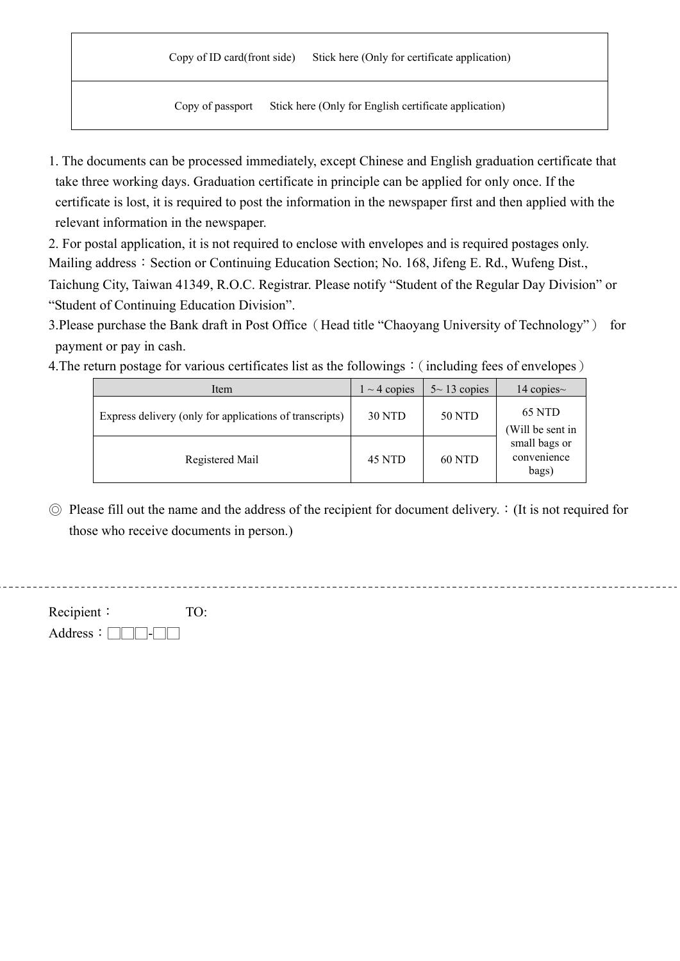## Copy of ID card(front side) Stick here (Only for certificate application)

Copy of passport Stick here (Only for English certificate application)

1. The documents can be processed immediately, except Chinese and English graduation certificate that take three working days. Graduation certificate in principle can be applied for only once. If the certificate is lost, it is required to post the information in the newspaper first and then applied with the relevant information in the newspaper.

2. For postal application, it is not required to enclose with envelopes and is required postages only. Mailing address: Section or Continuing Education Section; No. 168, Jifeng E. Rd., Wufeng Dist., Taichung City, Taiwan 41349, R.O.C. Registrar. Please notify "Student of the Regular Day Division" or "Student of Continuing Education Division".

3.Please purchase the Bank draft in Post Office (Head title "Chaoyang University of Technology") for payment or pay in cash.

4. The return postage for various certificates list as the followings: (including fees of envelopes)

| Item                                                    | $1 \sim 4$ copies | $5 \sim 13$ copies | 14 copies $\sim$           |
|---------------------------------------------------------|-------------------|--------------------|----------------------------|
| Express delivery (only for applications of transcripts) | <b>30 NTD</b>     | 50 NTD             | 65 NTD<br>(Will be sent in |
| Registered Mail                                         | 45 NTD            | <b>60 NTD</b>      |                            |

 $\odot$  Please fill out the name and the address of the recipient for document delivery.  $\colon$  (It is not required for those who receive documents in person.)

Recipient: TO: Address:  $\Box$